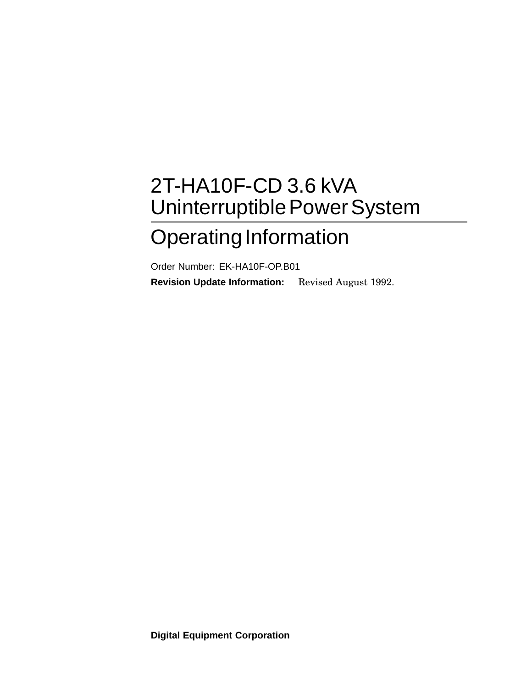# 2T-HA10F-CD 3.6 kVA Uninterruptible Power System

## Operating Information

Order Number: EK-HA10F-OP.B01 **Revision Update Information:** Revised August 1992.

**Digital Equipment Corporation**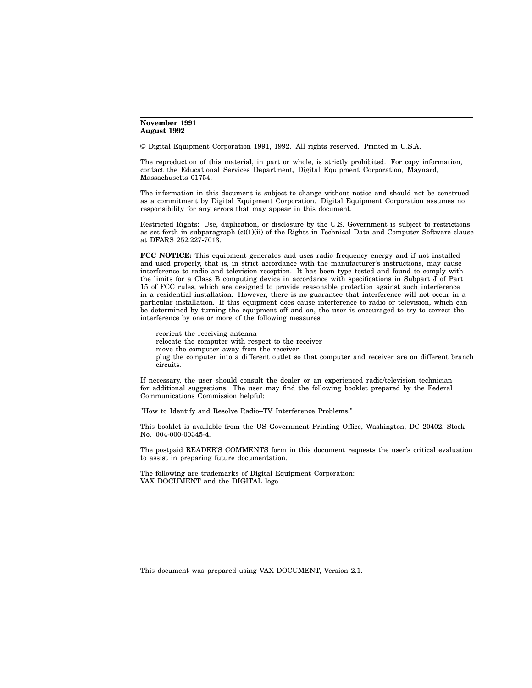#### **November 1991 August 1992**

© Digital Equipment Corporation 1991, 1992. All rights reserved. Printed in U.S.A.

The reproduction of this material, in part or whole, is strictly prohibited. For copy information, contact the Educational Services Department, Digital Equipment Corporation, Maynard, Massachusetts 01754.

The information in this document is subject to change without notice and should not be construed as a commitment by Digital Equipment Corporation. Digital Equipment Corporation assumes no responsibility for any errors that may appear in this document.

Restricted Rights: Use, duplication, or disclosure by the U.S. Government is subject to restrictions as set forth in subparagraph (c)(1)(ii) of the Rights in Technical Data and Computer Software clause at DFARS 252.227-7013.

**FCC NOTICE:** This equipment generates and uses radio frequency energy and if not installed and used properly, that is, in strict accordance with the manufacturer's instructions, may cause interference to radio and television reception. It has been type tested and found to comply with the limits for a Class B computing device in accordance with specifications in Subpart J of Part 15 of FCC rules, which are designed to provide reasonable protection against such interference in a residential installation. However, there is no guarantee that interference will not occur in a particular installation. If this equipment does cause interference to radio or television, which can be determined by turning the equipment off and on, the user is encouraged to try to correct the interference by one or more of the following measures:

reorient the receiving antenna relocate the computer with respect to the receiver move the computer away from the receiver plug the computer into a different outlet so that computer and receiver are on different branch circuits.

If necessary, the user should consult the dealer or an experienced radio/television technician for additional suggestions. The user may find the following booklet prepared by the Federal Communications Commission helpful:

"How to Identify and Resolve Radio–TV Interference Problems."

This booklet is available from the US Government Printing Office, Washington, DC 20402, Stock No. 004-000-00345-4.

The postpaid READER'S COMMENTS form in this document requests the user's critical evaluation to assist in preparing future documentation.

The following are trademarks of Digital Equipment Corporation: VAX DOCUMENT and the DIGITAL logo.

This document was prepared using VAX DOCUMENT, Version 2.1.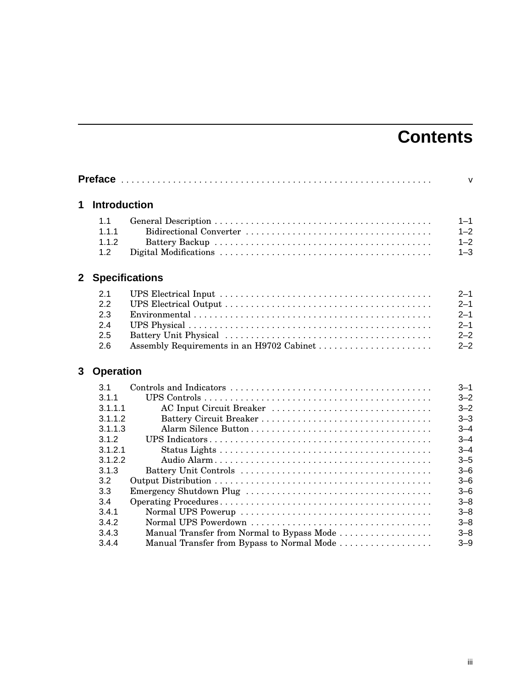## **Contents**

|                                                                                                                                       |                                                                        | $\mathsf{v}$                                                                                                                                                                 |
|---------------------------------------------------------------------------------------------------------------------------------------|------------------------------------------------------------------------|------------------------------------------------------------------------------------------------------------------------------------------------------------------------------|
|                                                                                                                                       |                                                                        |                                                                                                                                                                              |
| 1.1<br>1.1.1<br>1.1.2<br>1.2                                                                                                          |                                                                        | $1 - 1$<br>$1 - 2$<br>$1 - 2$<br>$1 - 3$                                                                                                                                     |
|                                                                                                                                       |                                                                        |                                                                                                                                                                              |
| 2.1<br>2.2<br>2.3<br>2.4<br>2.5<br>2.6                                                                                                | Assembly Requirements in an H9702 Cabinet                              | $2 - 1$<br>$2 - 1$<br>$2 - 1$<br>$2 - 1$<br>$2 - 2$<br>$2 - 2$                                                                                                               |
|                                                                                                                                       |                                                                        |                                                                                                                                                                              |
| 3.1<br>3.1.1<br>3.1.1.1<br>3.1.1.2<br>3.1.1.3<br>3.1.2<br>3.1.2.1<br>3.1.2.2<br>3.1.3<br>3.2<br>3.3<br>3.4<br>3.4.1<br>3.4.2<br>3.4.3 | AC Input Circuit Breaker<br>Manual Transfer from Normal to Bypass Mode | $3 - 1$<br>$3 - 2$<br>$3 - 2$<br>$3 - 3$<br>$3 - 4$<br>$3 - 4$<br>$3 - 4$<br>$3 - 5$<br>$3 - 6$<br>$3 - 6$<br>$3 - 6$<br>$3 - 8$<br>$3 - 8$<br>$3 - 8$<br>$3 - 8$<br>$3 - 9$ |
|                                                                                                                                       | 3.4.4                                                                  | <b>Introduction</b><br><b>Specifications</b><br><b>Operation</b><br>Manual Transfer from Bypass to Normal Mode                                                               |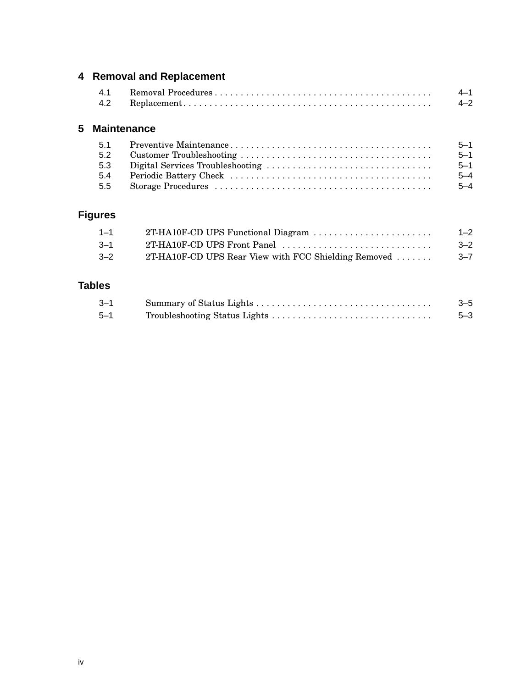## **4 Removal and Replacement**

| 4.1 |  |
|-----|--|
| 4.2 |  |

### **5 Maintenance**

| 51  | $5 - 1$ |
|-----|---------|
| 5.2 | $5 - 1$ |
| 5.3 | $5 - 1$ |
| 5.4 | $5 - 4$ |
| 5.5 | $5 - 4$ |

## **Figures**

| $1 - 1$ |                                                      | $1 - 2$ |
|---------|------------------------------------------------------|---------|
| $3 - 1$ |                                                      | $3 - 2$ |
| $3 - 2$ | 2T-HA10F-CD UPS Rear View with FCC Shielding Removed | $3 - 7$ |

## **Tables**

| $3 - 1$ | $3 - 5$ |
|---------|---------|
| $5 - 1$ | $5 - 3$ |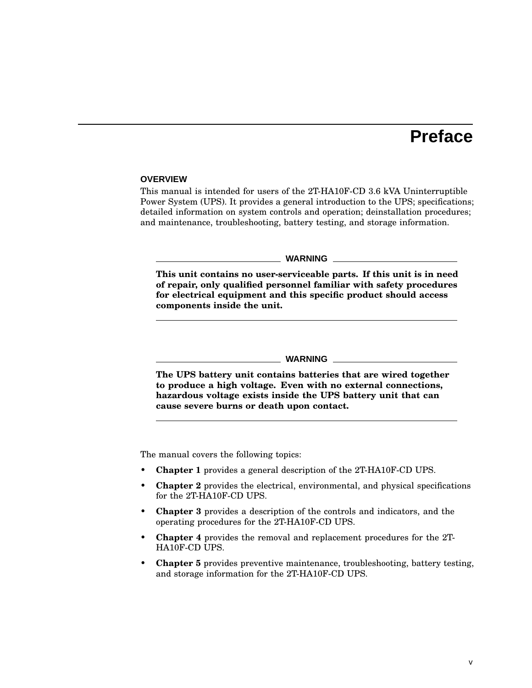## **Preface**

#### **OVERVIEW**

This manual is intended for users of the 2T-HA10F-CD 3.6 kVA Uninterruptible Power System (UPS). It provides a general introduction to the UPS; specifications; detailed information on system controls and operation; deinstallation procedures; and maintenance, troubleshooting, battery testing, and storage information.

#### **WARNING**

**This unit contains no user-serviceable parts. If this unit is in need of repair, only qualified personnel familiar with safety procedures for electrical equipment and this specific product should access components inside the unit.**

#### **WARNING**

**The UPS battery unit contains batteries that are wired together to produce a high voltage. Even with no external connections, hazardous voltage exists inside the UPS battery unit that can cause severe burns or death upon contact.**

The manual covers the following topics:

- **Chapter 1** provides a general description of the 2T-HA10F-CD UPS.
- **Chapter 2** provides the electrical, environmental, and physical specifications for the 2T-HA10F-CD UPS.
- **Chapter 3** provides a description of the controls and indicators, and the operating procedures for the 2T-HA10F-CD UPS.
- **Chapter 4** provides the removal and replacement procedures for the 2T-HA10F-CD UPS.
- **Chapter 5** provides preventive maintenance, troubleshooting, battery testing, and storage information for the 2T-HA10F-CD UPS.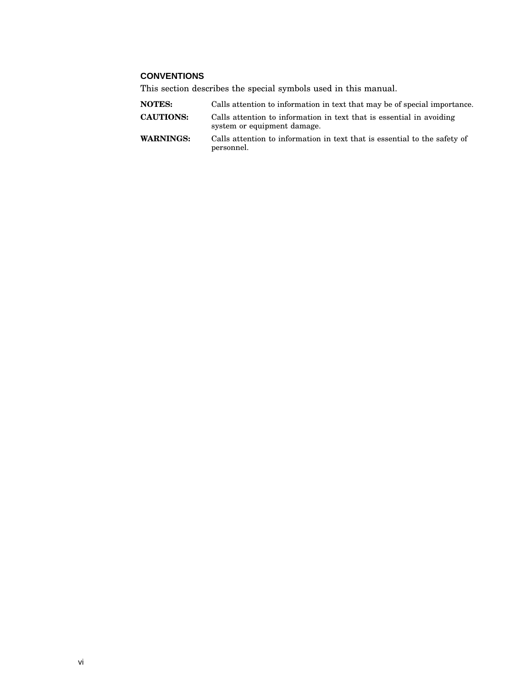#### **CONVENTIONS**

This section describes the special symbols used in this manual.

personnel.

| <b>NOTES:</b>    | Calls attention to information in text that may be of special importance.                           |
|------------------|-----------------------------------------------------------------------------------------------------|
| <b>CAUTIONS:</b> | Calls attention to information in text that is essential in avoiding<br>system or equipment damage. |
| WARNINGS:        | Calls attention to information in text that is essential to the safety of                           |

vi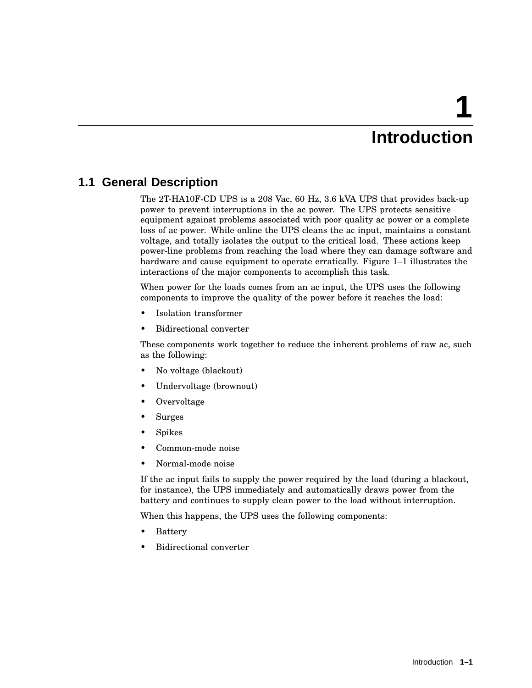# **1 Introduction**

## **1.1 General Description**

The 2T-HA10F-CD UPS is a 208 Vac, 60 Hz, 3.6 kVA UPS that provides back-up power to prevent interruptions in the ac power. The UPS protects sensitive equipment against problems associated with poor quality ac power or a complete loss of ac power. While online the UPS cleans the ac input, maintains a constant voltage, and totally isolates the output to the critical load. These actions keep power-line problems from reaching the load where they can damage software and hardware and cause equipment to operate erratically. Figure 1–1 illustrates the interactions of the major components to accomplish this task.

When power for the loads comes from an ac input, the UPS uses the following components to improve the quality of the power before it reaches the load:

- Isolation transformer
- Bidirectional converter

These components work together to reduce the inherent problems of raw ac, such as the following:

- No voltage (blackout)
- Undervoltage (brownout)
- Overvoltage
- Surges
- Spikes
- Common-mode noise
- Normal-mode noise

If the ac input fails to supply the power required by the load (during a blackout, for instance), the UPS immediately and automatically draws power from the battery and continues to supply clean power to the load without interruption.

When this happens, the UPS uses the following components:

- **Battery**
- Bidirectional converter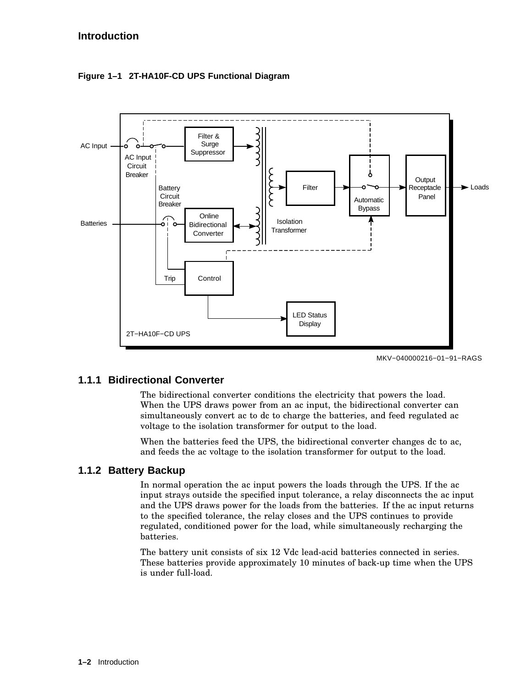

**Figure 1–1 2T-HA10F-CD UPS Functional Diagram**



#### **1.1.1 Bidirectional Converter**

The bidirectional converter conditions the electricity that powers the load. When the UPS draws power from an ac input, the bidirectional converter can simultaneously convert ac to dc to charge the batteries, and feed regulated ac voltage to the isolation transformer for output to the load.

When the batteries feed the UPS, the bidirectional converter changes dc to ac, and feeds the ac voltage to the isolation transformer for output to the load.

#### **1.1.2 Battery Backup**

In normal operation the ac input powers the loads through the UPS. If the ac input strays outside the specified input tolerance, a relay disconnects the ac input and the UPS draws power for the loads from the batteries. If the ac input returns to the specified tolerance, the relay closes and the UPS continues to provide regulated, conditioned power for the load, while simultaneously recharging the batteries.

The battery unit consists of six 12 Vdc lead-acid batteries connected in series. These batteries provide approximately 10 minutes of back-up time when the UPS is under full-load.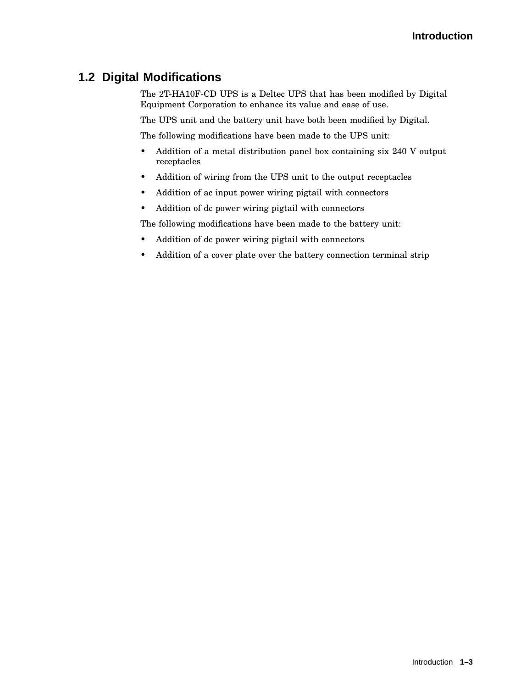## **1.2 Digital Modifications**

The 2T-HA10F-CD UPS is a Deltec UPS that has been modified by Digital Equipment Corporation to enhance its value and ease of use.

The UPS unit and the battery unit have both been modified by Digital.

The following modifications have been made to the UPS unit:

- Addition of a metal distribution panel box containing six 240 V output receptacles
- Addition of wiring from the UPS unit to the output receptacles
- Addition of ac input power wiring pigtail with connectors
- Addition of dc power wiring pigtail with connectors

The following modifications have been made to the battery unit:

- Addition of dc power wiring pigtail with connectors
- Addition of a cover plate over the battery connection terminal strip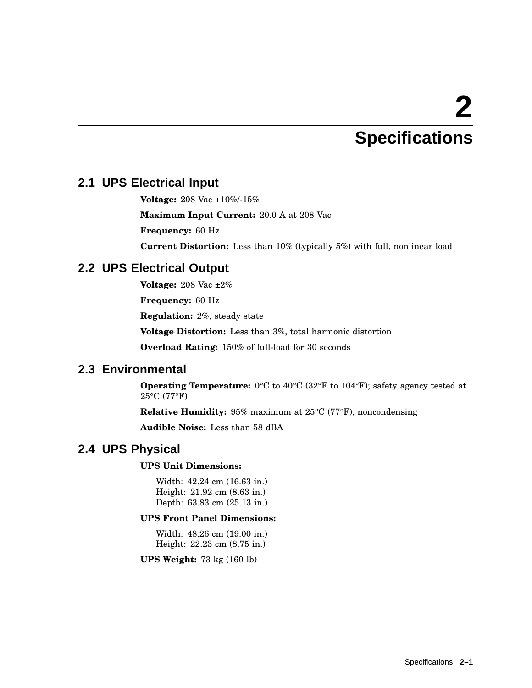# **2 Specifications**

## **2.1 UPS Electrical Input**

**Voltage:** 208 Vac +10%/-15%

**Maximum Input Current:** 20.0 A at 208 Vac

**Frequency:** 60 Hz

**Current Distortion:** Less than 10% (typically 5%) with full, nonlinear load

## **2.2 UPS Electrical Output**

**Voltage:** 208 Vac ±2%

**Frequency:** 60 Hz

**Regulation:** 2%, steady state

**Voltage Distortion:** Less than 3%, total harmonic distortion

**Overload Rating:** 150% of full-load for 30 seconds

## **2.3 Environmental**

**Operating Temperature:** 0°C to 40°C (32°F to 104°F); safety agency tested at 25°C (77°F)

**Relative Humidity:** 95% maximum at 25°C (77°F), noncondensing

**Audible Noise:** Less than 58 dBA

## **2.4 UPS Physical**

#### **UPS Unit Dimensions:**

Width: 42.24 cm (16.63 in.) Height: 21.92 cm (8.63 in.) Depth: 63.83 cm (25.13 in.)

#### **UPS Front Panel Dimensions:**

Width: 48.26 cm (19.00 in.) Height: 22.23 cm (8.75 in.)

**UPS Weight:** 73 kg (160 lb)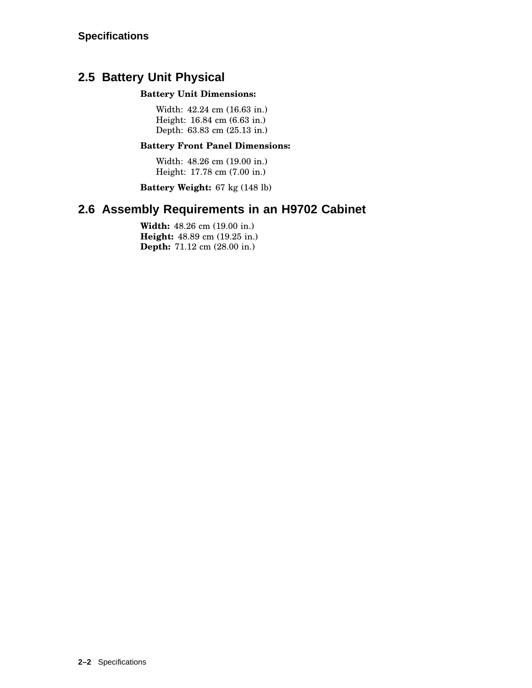## **2.5 Battery Unit Physical**

#### **Battery Unit Dimensions:**

Width: 42.24 cm (16.63 in.) Height: 16.84 cm (6.63 in.) Depth: 63.83 cm (25.13 in.)

#### **Battery Front Panel Dimensions:**

Width: 48.26 cm (19.00 in.) Height: 17.78 cm (7.00 in.)

**Battery Weight:** 67 kg (148 lb)

## **2.6 Assembly Requirements in an H9702 Cabinet**

**Width:** 48.26 cm (19.00 in.) **Height:** 48.89 cm (19.25 in.) **Depth:** 71.12 cm (28.00 in.)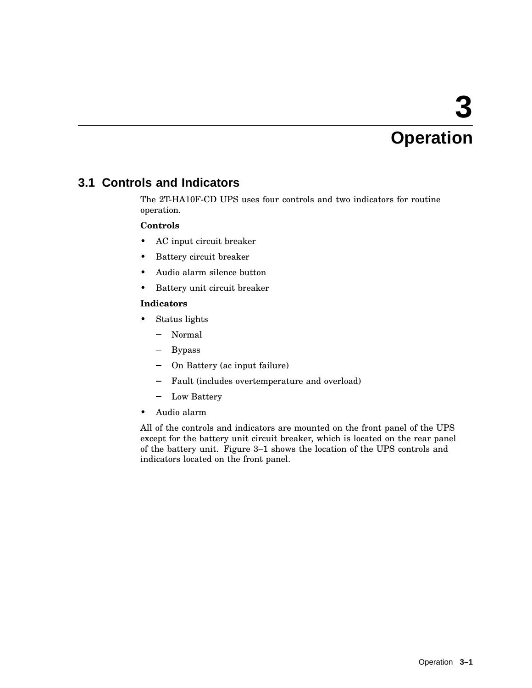# **3 Operation**

## **3.1 Controls and Indicators**

The 2T-HA10F-CD UPS uses four controls and two indicators for routine operation.

#### **Controls**

- AC input circuit breaker
- Battery circuit breaker
- Audio alarm silence button
- Battery unit circuit breaker

#### **Indicators**

- Status lights
	- Normal
	- Bypass
	- On Battery (ac input failure)
	- $\frac{1}{2}$ Fault (includes overtemperature and overload)
	- Low Battery
- Audio alarm

All of the controls and indicators are mounted on the front panel of the UPS except for the battery unit circuit breaker, which is located on the rear panel of the battery unit. Figure 3–1 shows the location of the UPS controls and indicators located on the front panel.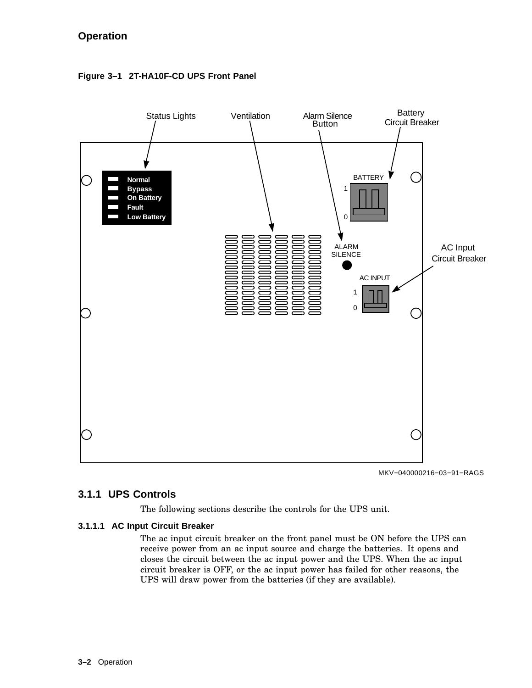### **Operation**



#### **Figure 3–1 2T-HA10F-CD UPS Front Panel**

MKV−040000216−03−91−RAGS

#### **3.1.1 UPS Controls**

The following sections describe the controls for the UPS unit.

#### **3.1.1.1 AC Input Circuit Breaker**

The ac input circuit breaker on the front panel must be ON before the UPS can receive power from an ac input source and charge the batteries. It opens and closes the circuit between the ac input power and the UPS. When the ac input circuit breaker is OFF, or the ac input power has failed for other reasons, the UPS will draw power from the batteries (if they are available).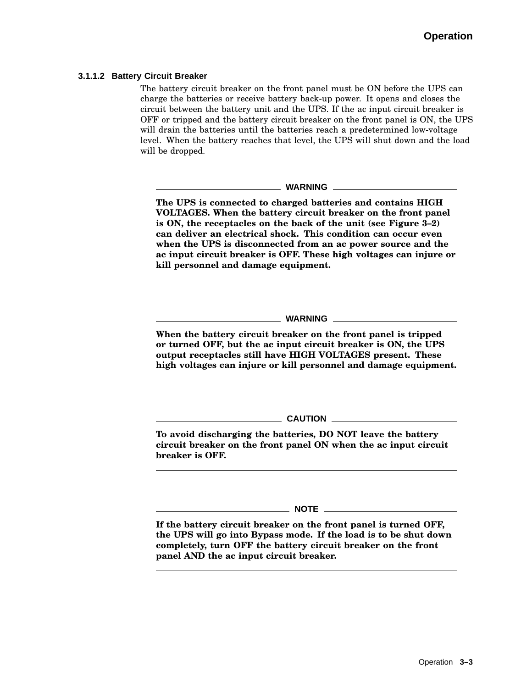#### **3.1.1.2 Battery Circuit Breaker**

The battery circuit breaker on the front panel must be ON before the UPS can charge the batteries or receive battery back-up power. It opens and closes the circuit between the battery unit and the UPS. If the ac input circuit breaker is OFF or tripped and the battery circuit breaker on the front panel is ON, the UPS will drain the batteries until the batteries reach a predetermined low-voltage level. When the battery reaches that level, the UPS will shut down and the load will be dropped.

**WARNING**

**The UPS is connected to charged batteries and contains HIGH VOLTAGES. When the battery circuit breaker on the front panel is ON, the receptacles on the back of the unit (see Figure 3–2) can deliver an electrical shock. This condition can occur even when the UPS is disconnected from an ac power source and the ac input circuit breaker is OFF. These high voltages can injure or kill personnel and damage equipment.**

**WARNING**

**When the battery circuit breaker on the front panel is tripped or turned OFF, but the ac input circuit breaker is ON, the UPS output receptacles still have HIGH VOLTAGES present. These high voltages can injure or kill personnel and damage equipment.**

**CAUTION**

**To avoid discharging the batteries, DO NOT leave the battery circuit breaker on the front panel ON when the ac input circuit breaker is OFF.**

**NOTE**

**If the battery circuit breaker on the front panel is turned OFF, the UPS will go into Bypass mode. If the load is to be shut down completely, turn OFF the battery circuit breaker on the front panel AND the ac input circuit breaker.**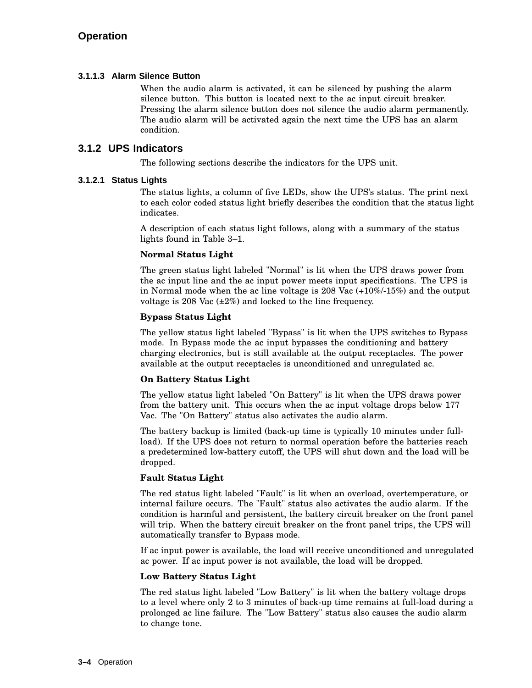#### **3.1.1.3 Alarm Silence Button**

When the audio alarm is activated, it can be silenced by pushing the alarm silence button. This button is located next to the ac input circuit breaker. Pressing the alarm silence button does not silence the audio alarm permanently. The audio alarm will be activated again the next time the UPS has an alarm condition.

#### **3.1.2 UPS Indicators**

The following sections describe the indicators for the UPS unit.

#### **3.1.2.1 Status Lights**

The status lights, a column of five LEDs, show the UPS's status. The print next to each color coded status light briefly describes the condition that the status light indicates.

A description of each status light follows, along with a summary of the status lights found in Table 3–1.

#### **Normal Status Light**

The green status light labeled "Normal" is lit when the UPS draws power from the ac input line and the ac input power meets input specifications. The UPS is in Normal mode when the ac line voltage is 208 Vac (+10%/-15%) and the output voltage is 208 Vac (±2%) and locked to the line frequency.

#### **Bypass Status Light**

The yellow status light labeled "Bypass" is lit when the UPS switches to Bypass mode. In Bypass mode the ac input bypasses the conditioning and battery charging electronics, but is still available at the output receptacles. The power available at the output receptacles is unconditioned and unregulated ac.

#### **On Battery Status Light**

The yellow status light labeled "On Battery" is lit when the UPS draws power from the battery unit. This occurs when the ac input voltage drops below 177 Vac. The "On Battery" status also activates the audio alarm.

The battery backup is limited (back-up time is typically 10 minutes under fullload). If the UPS does not return to normal operation before the batteries reach a predetermined low-battery cutoff, the UPS will shut down and the load will be dropped.

#### **Fault Status Light**

The red status light labeled "Fault" is lit when an overload, overtemperature, or internal failure occurs. The "Fault" status also activates the audio alarm. If the condition is harmful and persistent, the battery circuit breaker on the front panel will trip. When the battery circuit breaker on the front panel trips, the UPS will automatically transfer to Bypass mode.

If ac input power is available, the load will receive unconditioned and unregulated ac power. If ac input power is not available, the load will be dropped.

#### **Low Battery Status Light**

The red status light labeled "Low Battery" is lit when the battery voltage drops to a level where only 2 to 3 minutes of back-up time remains at full-load during a prolonged ac line failure. The "Low Battery" status also causes the audio alarm to change tone.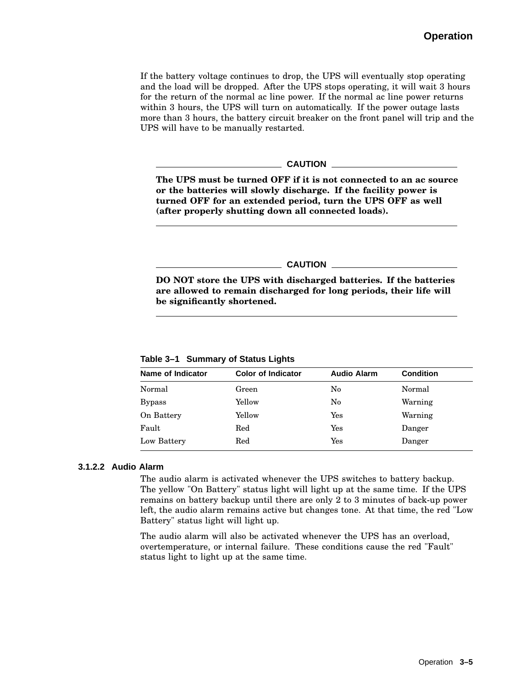If the battery voltage continues to drop, the UPS will eventually stop operating and the load will be dropped. After the UPS stops operating, it will wait 3 hours for the return of the normal ac line power. If the normal ac line power returns within 3 hours, the UPS will turn on automatically. If the power outage lasts more than 3 hours, the battery circuit breaker on the front panel will trip and the UPS will have to be manually restarted.

#### **CAUTION**

**The UPS must be turned OFF if it is not connected to an ac source or the batteries will slowly discharge. If the facility power is turned OFF for an extended period, turn the UPS OFF as well (after properly shutting down all connected loads).**

#### **CAUTION**

**DO NOT store the UPS with discharged batteries. If the batteries are allowed to remain discharged for long periods, their life will be significantly shortened.**

**Table 3–1 Summary of Status Lights**

| Name of Indicator | <b>Color of Indicator</b> | <b>Audio Alarm</b>   | <b>Condition</b> |
|-------------------|---------------------------|----------------------|------------------|
| Normal            | Green                     | No                   | Normal           |
| <b>Bypass</b>     | Yellow                    | No                   | Warning          |
| On Battery        | Yellow                    | Yes                  | Warning          |
| Fault             | Red                       | Yes                  | Danger           |
| Low Battery       | Red                       | $\operatorname{Yes}$ | Danger           |

#### **3.1.2.2 Audio Alarm**

The audio alarm is activated whenever the UPS switches to battery backup. The yellow "On Battery" status light will light up at the same time. If the UPS remains on battery backup until there are only 2 to 3 minutes of back-up power left, the audio alarm remains active but changes tone. At that time, the red "Low Battery" status light will light up.

The audio alarm will also be activated whenever the UPS has an overload, overtemperature, or internal failure. These conditions cause the red "Fault" status light to light up at the same time.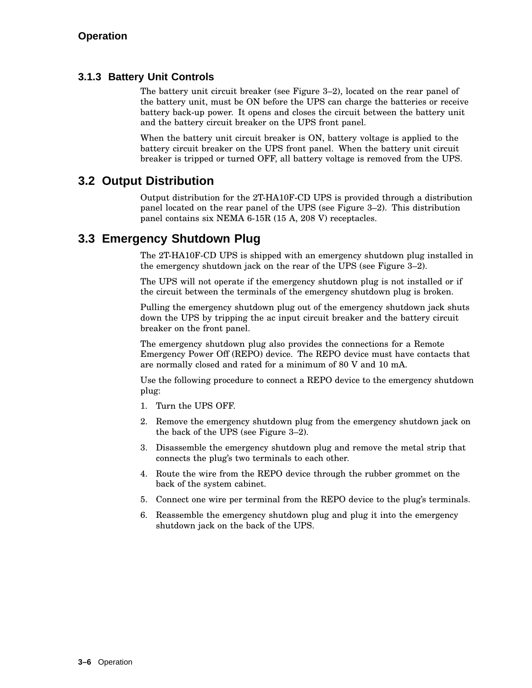#### **3.1.3 Battery Unit Controls**

The battery unit circuit breaker (see Figure 3–2), located on the rear panel of the battery unit, must be ON before the UPS can charge the batteries or receive battery back-up power. It opens and closes the circuit between the battery unit and the battery circuit breaker on the UPS front panel.

When the battery unit circuit breaker is ON, battery voltage is applied to the battery circuit breaker on the UPS front panel. When the battery unit circuit breaker is tripped or turned OFF, all battery voltage is removed from the UPS.

## **3.2 Output Distribution**

Output distribution for the 2T-HA10F-CD UPS is provided through a distribution panel located on the rear panel of the UPS (see Figure 3–2). This distribution panel contains six NEMA 6-15R (15 A, 208 V) receptacles.

## **3.3 Emergency Shutdown Plug**

The 2T-HA10F-CD UPS is shipped with an emergency shutdown plug installed in the emergency shutdown jack on the rear of the UPS (see Figure 3–2).

The UPS will not operate if the emergency shutdown plug is not installed or if the circuit between the terminals of the emergency shutdown plug is broken.

Pulling the emergency shutdown plug out of the emergency shutdown jack shuts down the UPS by tripping the ac input circuit breaker and the battery circuit breaker on the front panel.

The emergency shutdown plug also provides the connections for a Remote Emergency Power Off (REPO) device. The REPO device must have contacts that are normally closed and rated for a minimum of 80 V and 10 mA.

Use the following procedure to connect a REPO device to the emergency shutdown plug:

- 1. Turn the UPS OFF.
- 2. Remove the emergency shutdown plug from the emergency shutdown jack on the back of the UPS (see Figure 3–2).
- 3. Disassemble the emergency shutdown plug and remove the metal strip that connects the plug's two terminals to each other.
- 4. Route the wire from the REPO device through the rubber grommet on the back of the system cabinet.
- 5. Connect one wire per terminal from the REPO device to the plug's terminals.
- 6. Reassemble the emergency shutdown plug and plug it into the emergency shutdown jack on the back of the UPS.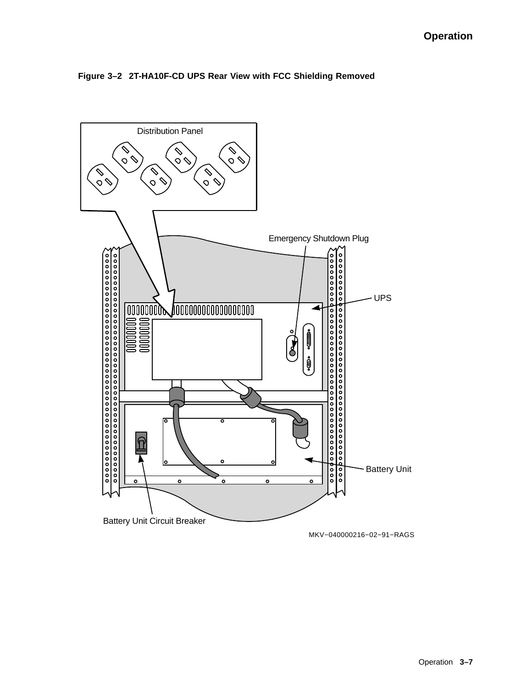

#### **Figure 3–2 2T-HA10F-CD UPS Rear View with FCC Shielding Removed**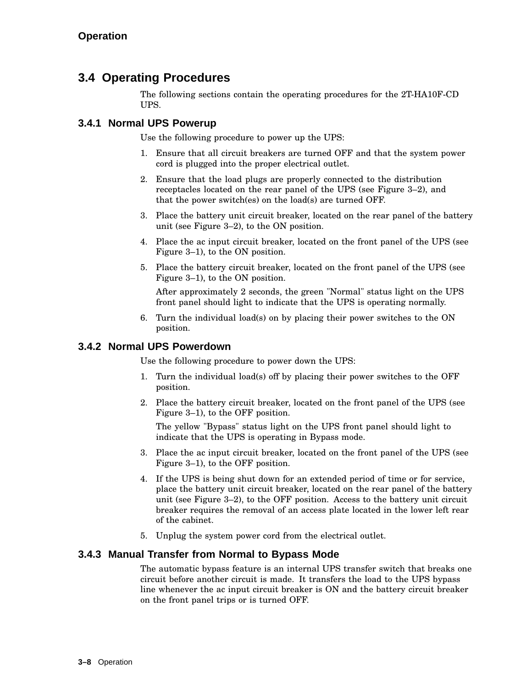## **3.4 Operating Procedures**

The following sections contain the operating procedures for the 2T-HA10F-CD UPS.

#### **3.4.1 Normal UPS Powerup**

Use the following procedure to power up the UPS:

- 1. Ensure that all circuit breakers are turned OFF and that the system power cord is plugged into the proper electrical outlet.
- 2. Ensure that the load plugs are properly connected to the distribution receptacles located on the rear panel of the UPS (see Figure 3–2), and that the power switch(es) on the load(s) are turned OFF.
- 3. Place the battery unit circuit breaker, located on the rear panel of the battery unit (see Figure 3–2), to the ON position.
- 4. Place the ac input circuit breaker, located on the front panel of the UPS (see Figure 3–1), to the ON position.
- 5. Place the battery circuit breaker, located on the front panel of the UPS (see Figure 3–1), to the ON position.

After approximately 2 seconds, the green "Normal" status light on the UPS front panel should light to indicate that the UPS is operating normally.

6. Turn the individual load(s) on by placing their power switches to the ON position.

#### **3.4.2 Normal UPS Powerdown**

Use the following procedure to power down the UPS:

- 1. Turn the individual load(s) off by placing their power switches to the OFF position.
- 2. Place the battery circuit breaker, located on the front panel of the UPS (see Figure 3–1), to the OFF position.

The yellow "Bypass" status light on the UPS front panel should light to indicate that the UPS is operating in Bypass mode.

- 3. Place the ac input circuit breaker, located on the front panel of the UPS (see Figure 3–1), to the OFF position.
- 4. If the UPS is being shut down for an extended period of time or for service, place the battery unit circuit breaker, located on the rear panel of the battery unit (see Figure 3–2), to the OFF position. Access to the battery unit circuit breaker requires the removal of an access plate located in the lower left rear of the cabinet.
- 5. Unplug the system power cord from the electrical outlet.

#### **3.4.3 Manual Transfer from Normal to Bypass Mode**

The automatic bypass feature is an internal UPS transfer switch that breaks one circuit before another circuit is made. It transfers the load to the UPS bypass line whenever the ac input circuit breaker is ON and the battery circuit breaker on the front panel trips or is turned OFF.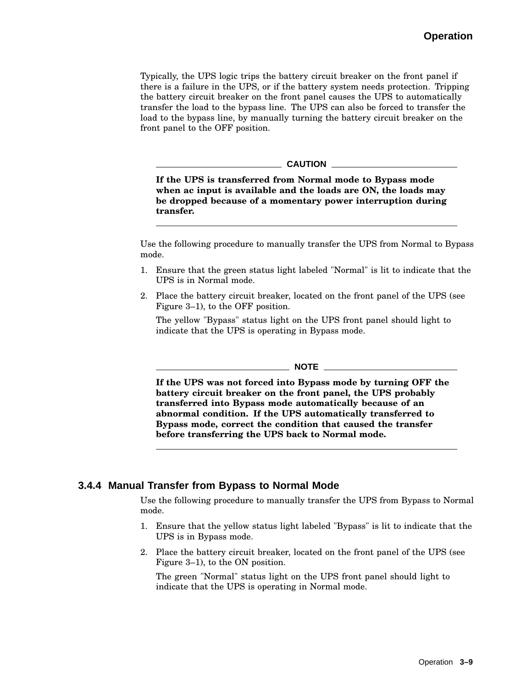Typically, the UPS logic trips the battery circuit breaker on the front panel if there is a failure in the UPS, or if the battery system needs protection. Tripping the battery circuit breaker on the front panel causes the UPS to automatically transfer the load to the bypass line. The UPS can also be forced to transfer the load to the bypass line, by manually turning the battery circuit breaker on the front panel to the OFF position.

#### **CAUTION**

**If the UPS is transferred from Normal mode to Bypass mode when ac input is available and the loads are ON, the loads may be dropped because of a momentary power interruption during transfer.**

Use the following procedure to manually transfer the UPS from Normal to Bypass mode.

- 1. Ensure that the green status light labeled "Normal" is lit to indicate that the UPS is in Normal mode.
- 2. Place the battery circuit breaker, located on the front panel of the UPS (see Figure 3–1), to the OFF position.

The yellow "Bypass" status light on the UPS front panel should light to indicate that the UPS is operating in Bypass mode.

 $\_$  NOTE  $\_$ 

**If the UPS was not forced into Bypass mode by turning OFF the battery circuit breaker on the front panel, the UPS probably transferred into Bypass mode automatically because of an abnormal condition. If the UPS automatically transferred to Bypass mode, correct the condition that caused the transfer before transferring the UPS back to Normal mode.**

#### **3.4.4 Manual Transfer from Bypass to Normal Mode**

Use the following procedure to manually transfer the UPS from Bypass to Normal mode.

- 1. Ensure that the yellow status light labeled "Bypass" is lit to indicate that the UPS is in Bypass mode.
- 2. Place the battery circuit breaker, located on the front panel of the UPS (see Figure 3–1), to the ON position.

The green "Normal" status light on the UPS front panel should light to indicate that the UPS is operating in Normal mode.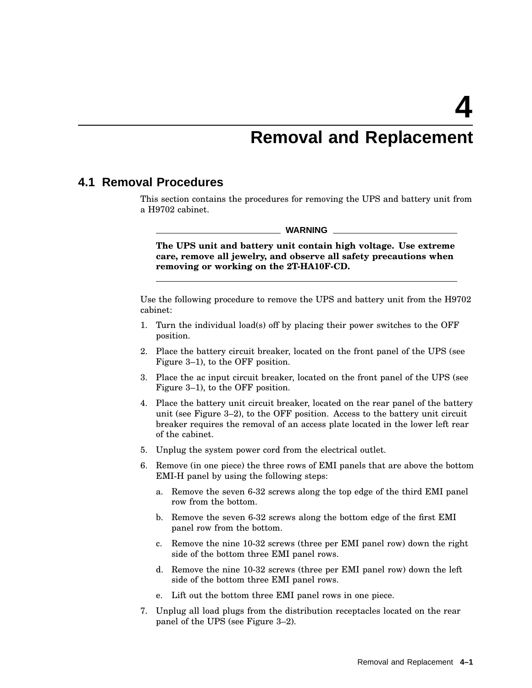## **Removal and Replacement**

#### **4.1 Removal Procedures**

This section contains the procedures for removing the UPS and battery unit from a H9702 cabinet.

**WARNING**

**The UPS unit and battery unit contain high voltage. Use extreme care, remove all jewelry, and observe all safety precautions when removing or working on the 2T-HA10F-CD.**

Use the following procedure to remove the UPS and battery unit from the H9702 cabinet:

- 1. Turn the individual load(s) off by placing their power switches to the OFF position.
- 2. Place the battery circuit breaker, located on the front panel of the UPS (see Figure 3–1), to the OFF position.
- 3. Place the ac input circuit breaker, located on the front panel of the UPS (see Figure 3–1), to the OFF position.
- 4. Place the battery unit circuit breaker, located on the rear panel of the battery unit (see Figure 3–2), to the OFF position. Access to the battery unit circuit breaker requires the removal of an access plate located in the lower left rear of the cabinet.
- 5. Unplug the system power cord from the electrical outlet.
- 6. Remove (in one piece) the three rows of EMI panels that are above the bottom EMI-H panel by using the following steps:
	- a. Remove the seven 6-32 screws along the top edge of the third EMI panel row from the bottom.
	- b. Remove the seven 6-32 screws along the bottom edge of the first EMI panel row from the bottom.
	- c. Remove the nine 10-32 screws (three per EMI panel row) down the right side of the bottom three EMI panel rows.
	- d. Remove the nine 10-32 screws (three per EMI panel row) down the left side of the bottom three EMI panel rows.
	- e. Lift out the bottom three EMI panel rows in one piece.
- 7. Unplug all load plugs from the distribution receptacles located on the rear panel of the UPS (see Figure 3–2).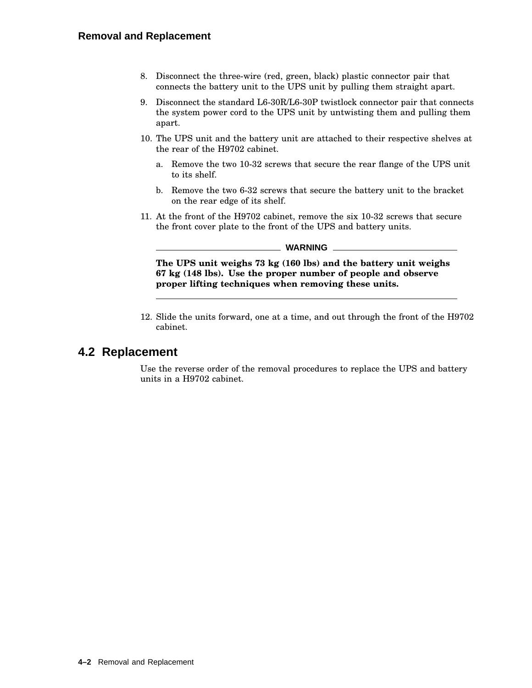- 8. Disconnect the three-wire (red, green, black) plastic connector pair that connects the battery unit to the UPS unit by pulling them straight apart.
- 9. Disconnect the standard L6-30R/L6-30P twistlock connector pair that connects the system power cord to the UPS unit by untwisting them and pulling them apart.
- 10. The UPS unit and the battery unit are attached to their respective shelves at the rear of the H9702 cabinet.
	- a. Remove the two 10-32 screws that secure the rear flange of the UPS unit to its shelf.
	- b. Remove the two 6-32 screws that secure the battery unit to the bracket on the rear edge of its shelf.
- 11. At the front of the H9702 cabinet, remove the six 10-32 screws that secure the front cover plate to the front of the UPS and battery units.

#### **WARNING**

**The UPS unit weighs 73 kg (160 lbs) and the battery unit weighs 67 kg (148 lbs). Use the proper number of people and observe proper lifting techniques when removing these units.**

12. Slide the units forward, one at a time, and out through the front of the H9702 cabinet.

#### **4.2 Replacement**

Use the reverse order of the removal procedures to replace the UPS and battery units in a H9702 cabinet.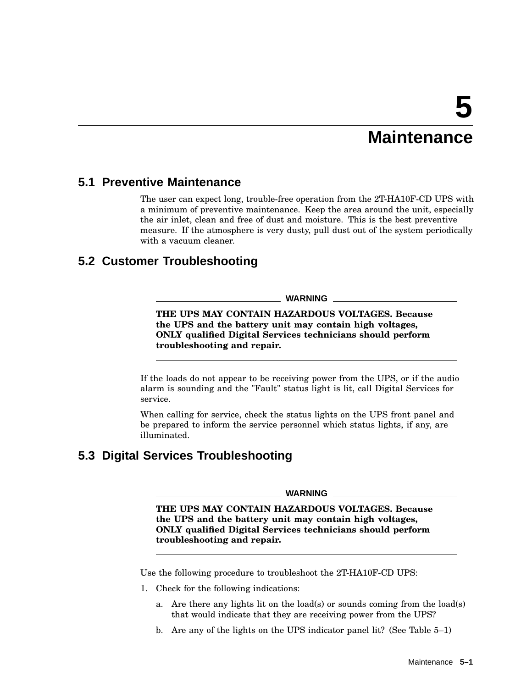## **Maintenance**

## **5.1 Preventive Maintenance**

The user can expect long, trouble-free operation from the 2T-HA10F-CD UPS with a minimum of preventive maintenance. Keep the area around the unit, especially the air inlet, clean and free of dust and moisture. This is the best preventive measure. If the atmosphere is very dusty, pull dust out of the system periodically with a vacuum cleaner.

## **5.2 Customer Troubleshooting**

#### **WARNING**

**THE UPS MAY CONTAIN HAZARDOUS VOLTAGES. Because the UPS and the battery unit may contain high voltages, ONLY qualified Digital Services technicians should perform troubleshooting and repair.**

If the loads do not appear to be receiving power from the UPS, or if the audio alarm is sounding and the "Fault" status light is lit, call Digital Services for service.

When calling for service, check the status lights on the UPS front panel and be prepared to inform the service personnel which status lights, if any, are illuminated.

## **5.3 Digital Services Troubleshooting**

#### **WARNING**

**THE UPS MAY CONTAIN HAZARDOUS VOLTAGES. Because the UPS and the battery unit may contain high voltages, ONLY qualified Digital Services technicians should perform troubleshooting and repair.**

Use the following procedure to troubleshoot the 2T-HA10F-CD UPS:

- 1. Check for the following indications:
	- a. Are there any lights lit on the load(s) or sounds coming from the load(s) that would indicate that they are receiving power from the UPS?
	- b. Are any of the lights on the UPS indicator panel lit? (See Table 5–1)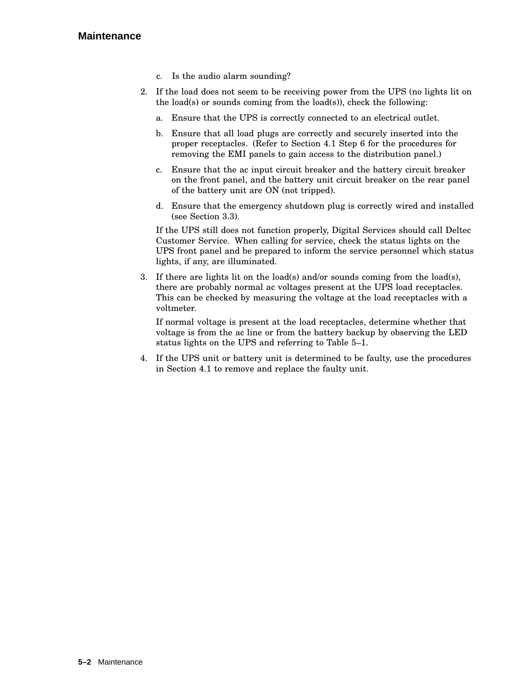#### **Maintenance**

- c. Is the audio alarm sounding?
- 2. If the load does not seem to be receiving power from the UPS (no lights lit on the load(s) or sounds coming from the load(s)), check the following:
	- a. Ensure that the UPS is correctly connected to an electrical outlet.
	- b. Ensure that all load plugs are correctly and securely inserted into the proper receptacles. (Refer to Section 4.1 Step 6 for the procedures for removing the EMI panels to gain access to the distribution panel.)
	- c. Ensure that the ac input circuit breaker and the battery circuit breaker on the front panel, and the battery unit circuit breaker on the rear panel of the battery unit are ON (not tripped).
	- d. Ensure that the emergency shutdown plug is correctly wired and installed (see Section 3.3).

If the UPS still does not function properly, Digital Services should call Deltec Customer Service. When calling for service, check the status lights on the UPS front panel and be prepared to inform the service personnel which status lights, if any, are illuminated.

3. If there are lights lit on the load(s) and/or sounds coming from the load(s), there are probably normal ac voltages present at the UPS load receptacles. This can be checked by measuring the voltage at the load receptacles with a voltmeter.

If normal voltage is present at the load receptacles, determine whether that voltage is from the ac line or from the battery backup by observing the LED status lights on the UPS and referring to Table 5–1.

4. If the UPS unit or battery unit is determined to be faulty, use the procedures in Section 4.1 to remove and replace the faulty unit.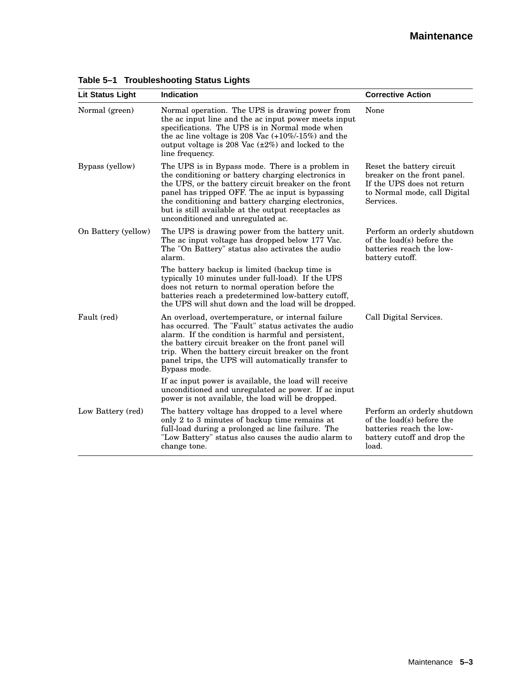#### **Maintenance**

| Lit Status Light    | Indication                                                                                                                                                                                                                                                                                                                                                            | <b>Corrective Action</b>                                                                                                            |
|---------------------|-----------------------------------------------------------------------------------------------------------------------------------------------------------------------------------------------------------------------------------------------------------------------------------------------------------------------------------------------------------------------|-------------------------------------------------------------------------------------------------------------------------------------|
| Normal (green)      | Normal operation. The UPS is drawing power from<br>the ac input line and the ac input power meets input<br>specifications. The UPS is in Normal mode when<br>the ac line voltage is 208 Vac $(+10\%/15\%)$ and the<br>output voltage is 208 Vac $(\pm 2\%)$ and locked to the<br>line frequency.                                                                      | None                                                                                                                                |
| Bypass (yellow)     | The UPS is in Bypass mode. There is a problem in<br>the conditioning or battery charging electronics in<br>the UPS, or the battery circuit breaker on the front<br>panel has tripped OFF. The ac input is bypassing<br>the conditioning and battery charging electronics,<br>but is still available at the output receptacles as<br>unconditioned and unregulated ac. | Reset the battery circuit<br>breaker on the front panel.<br>If the UPS does not return<br>to Normal mode, call Digital<br>Services. |
| On Battery (yellow) | The UPS is drawing power from the battery unit.<br>The ac input voltage has dropped below 177 Vac.<br>The "On Battery" status also activates the audio<br>alarm.                                                                                                                                                                                                      | Perform an orderly shutdown<br>of the load(s) before the<br>batteries reach the low-<br>battery cutoff.                             |
|                     | The battery backup is limited (backup time is<br>typically 10 minutes under full-load). If the UPS<br>does not return to normal operation before the<br>batteries reach a predetermined low-battery cutoff,<br>the UPS will shut down and the load will be dropped.                                                                                                   |                                                                                                                                     |
| Fault (red)         | An overload, overtemperature, or internal failure<br>has occurred. The "Fault" status activates the audio<br>alarm. If the condition is harmful and persistent,<br>the battery circuit breaker on the front panel will<br>trip. When the battery circuit breaker on the front<br>panel trips, the UPS will automatically transfer to<br>Bypass mode.                  | Call Digital Services.                                                                                                              |
|                     | If ac input power is available, the load will receive<br>unconditioned and unregulated ac power. If ac input<br>power is not available, the load will be dropped.                                                                                                                                                                                                     |                                                                                                                                     |
| Low Battery (red)   | The battery voltage has dropped to a level where<br>only 2 to 3 minutes of backup time remains at<br>full-load during a prolonged ac line failure. The<br>"Low Battery" status also causes the audio alarm to<br>change tone.                                                                                                                                         | Perform an orderly shutdown<br>of the load(s) before the<br>batteries reach the low-<br>battery cutoff and drop the<br>load.        |

### **Table 5–1 Troubleshooting Status Lights**